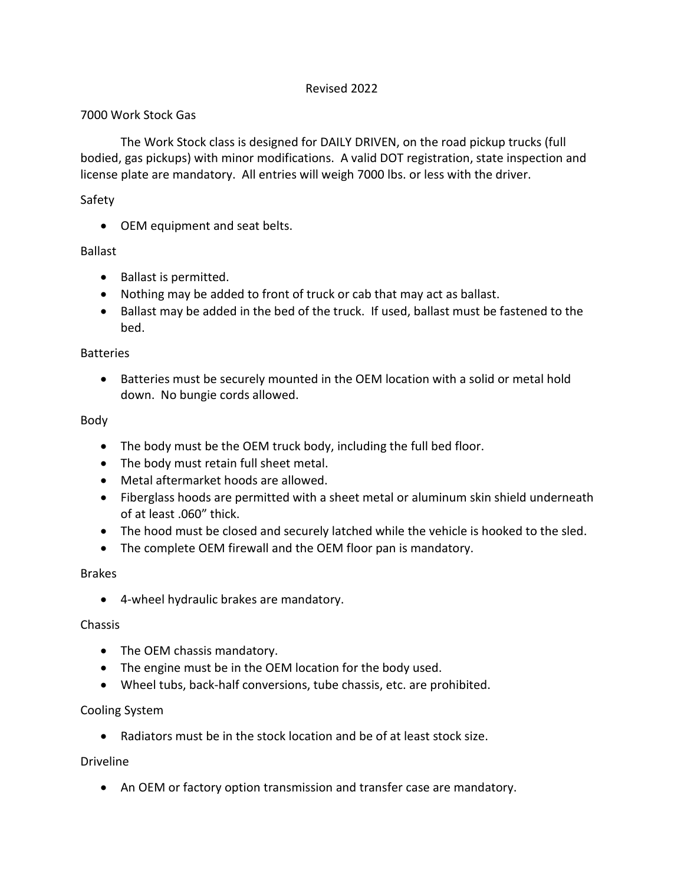## Revised 2022

## 7000 Work Stock Gas

The Work Stock class is designed for DAILY DRIVEN, on the road pickup trucks (full bodied, gas pickups) with minor modifications. A valid DOT registration, state inspection and license plate are mandatory. All entries will weigh 7000 lbs. or less with the driver.

## Safety

• OEM equipment and seat belts.

## Ballast

- Ballast is permitted.
- Nothing may be added to front of truck or cab that may act as ballast.
- Ballast may be added in the bed of the truck. If used, ballast must be fastened to the bed.

#### Batteries

• Batteries must be securely mounted in the OEM location with a solid or metal hold down. No bungie cords allowed.

## Body

- The body must be the OEM truck body, including the full bed floor.
- The body must retain full sheet metal.
- Metal aftermarket hoods are allowed.
- Fiberglass hoods are permitted with a sheet metal or aluminum skin shield underneath of at least .060" thick.
- The hood must be closed and securely latched while the vehicle is hooked to the sled.
- The complete OEM firewall and the OEM floor pan is mandatory.

#### Brakes

• 4-wheel hydraulic brakes are mandatory.

#### Chassis

- The OEM chassis mandatory.
- The engine must be in the OEM location for the body used.
- Wheel tubs, back-half conversions, tube chassis, etc. are prohibited.

# Cooling System

• Radiators must be in the stock location and be of at least stock size.

# Driveline

• An OEM or factory option transmission and transfer case are mandatory.